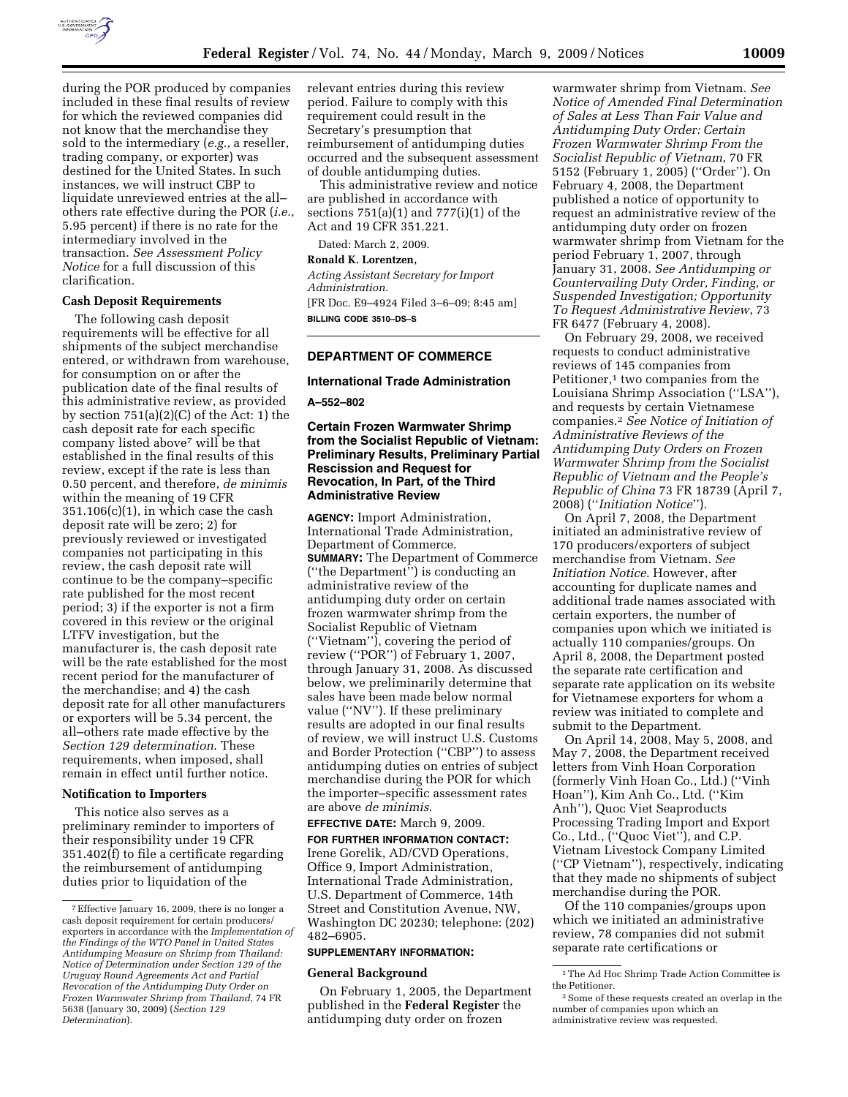

during the POR produced by companies included in these final results of review for which the reviewed companies did not know that the merchandise they sold to the intermediary (*e.g.*, a reseller, trading company, or exporter) was destined for the United States. In such instances, we will instruct CBP to liquidate unreviewed entries at the all– others rate effective during the POR (*i.e.*, 5.95 percent) if there is no rate for the intermediary involved in the transaction. *See Assessment Policy Notice* for a full discussion of this clarification.

#### **Cash Deposit Requirements**

The following cash deposit requirements will be effective for all shipments of the subject merchandise entered, or withdrawn from warehouse, for consumption on or after the publication date of the final results of this administrative review, as provided by section 751(a)(2)(C) of the Act: 1) the cash deposit rate for each specific company listed above7 will be that established in the final results of this review, except if the rate is less than 0.50 percent, and therefore, *de minimis*  within the meaning of 19 CFR  $351.106(c)(1)$ , in which case the cash deposit rate will be zero; 2) for previously reviewed or investigated companies not participating in this review, the cash deposit rate will continue to be the company–specific rate published for the most recent period; 3) if the exporter is not a firm covered in this review or the original LTFV investigation, but the manufacturer is, the cash deposit rate will be the rate established for the most recent period for the manufacturer of the merchandise; and 4) the cash deposit rate for all other manufacturers or exporters will be 5.34 percent, the all–others rate made effective by the *Section 129 determination*. These requirements, when imposed, shall remain in effect until further notice.

## **Notification to Importers**

This notice also serves as a preliminary reminder to importers of their responsibility under 19 CFR 351.402(f) to file a certificate regarding the reimbursement of antidumping duties prior to liquidation of the

relevant entries during this review period. Failure to comply with this requirement could result in the Secretary's presumption that reimbursement of antidumping duties occurred and the subsequent assessment of double antidumping duties.

This administrative review and notice are published in accordance with sections 751(a)(1) and 777(i)(1) of the Act and 19 CFR 351.221.

Dated: March 2, 2009.

**Ronald K. Lorentzen,** 

*Acting Assistant Secretary for Import Administration.*  [FR Doc. E9–4924 Filed 3–6–09; 8:45 am] **BILLING CODE 3510–DS–S** 

## **DEPARTMENT OF COMMERCE**

#### **International Trade Administration**

**A–552–802** 

# **Certain Frozen Warmwater Shrimp from the Socialist Republic of Vietnam: Preliminary Results, Preliminary Partial Rescission and Request for Revocation, In Part, of the Third Administrative Review**

**AGENCY:** Import Administration, International Trade Administration, Department of Commerce. **SUMMARY:** The Department of Commerce (''the Department'') is conducting an administrative review of the antidumping duty order on certain frozen warmwater shrimp from the Socialist Republic of Vietnam (''Vietnam''), covering the period of review (''POR'') of February 1, 2007, through January 31, 2008. As discussed below, we preliminarily determine that sales have been made below normal value (''NV''). If these preliminary results are adopted in our final results of review, we will instruct U.S. Customs and Border Protection (''CBP'') to assess antidumping duties on entries of subject merchandise during the POR for which the importer–specific assessment rates are above *de minimis*.

#### **EFFECTIVE DATE:** March 9, 2009.

**FOR FURTHER INFORMATION CONTACT:**  Irene Gorelik, AD/CVD Operations, Office 9, Import Administration, International Trade Administration, U.S. Department of Commerce, 14th Street and Constitution Avenue, NW, Washington DC 20230; telephone: (202) 482–6905.

# **SUPPLEMENTARY INFORMATION:**

#### **General Background**

On February 1, 2005, the Department published in the **Federal Register** the antidumping duty order on frozen

warmwater shrimp from Vietnam. *See Notice of Amended Final Determination of Sales at Less Than Fair Value and Antidumping Duty Order: Certain Frozen Warmwater Shrimp From the Socialist Republic of Vietnam*, 70 FR 5152 (February 1, 2005) (''Order''). On February 4, 2008, the Department published a notice of opportunity to request an administrative review of the antidumping duty order on frozen warmwater shrimp from Vietnam for the period February 1, 2007, through January 31, 2008. *See Antidumping or Countervailing Duty Order, Finding, or Suspended Investigation; Opportunity To Request Administrative Review*, 73 FR 6477 (February 4, 2008).

On February 29, 2008, we received requests to conduct administrative reviews of 145 companies from Petitioner, $1$  two companies from the Louisiana Shrimp Association (''LSA''), and requests by certain Vietnamese companies.2 *See Notice of Initiation of Administrative Reviews of the Antidumping Duty Orders on Frozen Warmwater Shrimp from the Socialist Republic of Vietnam and the People's Republic of China* 73 FR 18739 (April 7, 2008) (''*Initiation Notice*'').

On April 7, 2008, the Department initiated an administrative review of 170 producers/exporters of subject merchandise from Vietnam. *See Initiation Notice*. However, after accounting for duplicate names and additional trade names associated with certain exporters, the number of companies upon which we initiated is actually 110 companies/groups. On April 8, 2008, the Department posted the separate rate certification and separate rate application on its website for Vietnamese exporters for whom a review was initiated to complete and submit to the Department.

On April 14, 2008, May 5, 2008, and May 7, 2008, the Department received letters from Vinh Hoan Corporation (formerly Vinh Hoan Co., Ltd.) (''Vinh Hoan''), Kim Anh Co., Ltd. (''Kim Anh''), Quoc Viet Seaproducts Processing Trading Import and Export Co., Ltd., (''Quoc Viet''), and C.P. Vietnam Livestock Company Limited (''CP Vietnam''), respectively, indicating that they made no shipments of subject merchandise during the POR.

Of the 110 companies/groups upon which we initiated an administrative review, 78 companies did not submit separate rate certifications or

<sup>7</sup>Effective January 16, 2009, there is no longer a cash deposit requirement for certain producers/ exporters in accordance with the *Implementation of the Findings of the WTO Panel in United States Antidumping Measure on Shrimp from Thailand: Notice of Determination under Section 129 of the Uruguay Round Agreements Act and Partial Revocation of the Antidumping Duty Order on Frozen Warmwater Shrimp from Thailand*, 74 FR 5638 (January 30, 2009) (*Section 129 Determination*).

<sup>1</sup>The Ad Hoc Shrimp Trade Action Committee is the Petitioner.

<sup>2</sup>Some of these requests created an overlap in the number of companies upon which an administrative review was requested.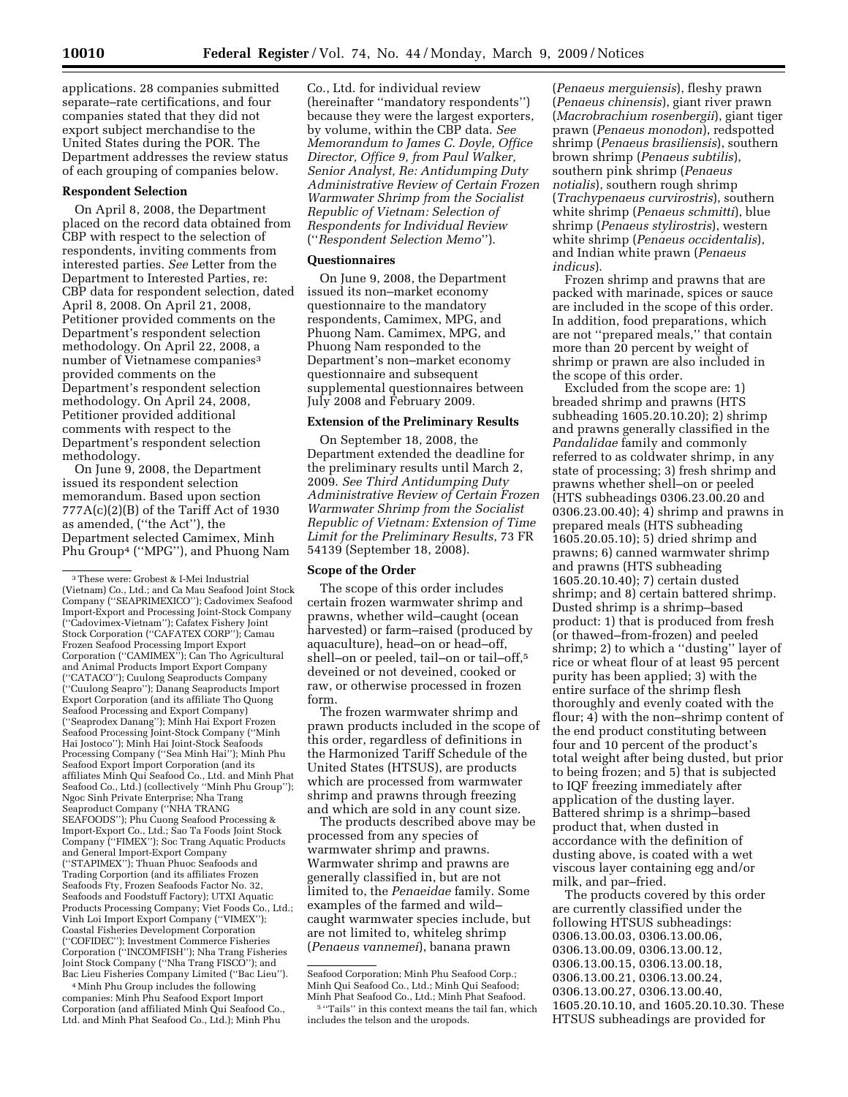applications. 28 companies submitted separate–rate certifications, and four companies stated that they did not export subject merchandise to the United States during the POR. The Department addresses the review status of each grouping of companies below.

# **Respondent Selection**

On April 8, 2008, the Department placed on the record data obtained from CBP with respect to the selection of respondents, inviting comments from interested parties. *See* Letter from the Department to Interested Parties, re: CBP data for respondent selection, dated April 8, 2008. On April 21, 2008, Petitioner provided comments on the Department's respondent selection methodology. On April 22, 2008, a number of Vietnamese companies<sup>3</sup> provided comments on the Department's respondent selection methodology. On April 24, 2008, Petitioner provided additional comments with respect to the Department's respondent selection methodology.

On June 9, 2008, the Department issued its respondent selection memorandum. Based upon section 777A(c)(2)(B) of the Tariff Act of 1930 as amended, (''the Act''), the Department selected Camimex, Minh Phu Group4 (''MPG''), and Phuong Nam

4Minh Phu Group includes the following companies: Minh Phu Seafood Export Import Corporation (and affiliated Minh Qui Seafood Co., Ltd. and Minh Phat Seafood Co., Ltd.); Minh Phu

Co., Ltd. for individual review (hereinafter ''mandatory respondents'') because they were the largest exporters, by volume, within the CBP data. *See Memorandum to James C. Doyle, Office Director, Office 9, from Paul Walker, Senior Analyst, Re: Antidumping Duty Administrative Review of Certain Frozen Warmwater Shrimp from the Socialist Republic of Vietnam: Selection of Respondents for Individual Review*  (''*Respondent Selection Memo*'').

# **Questionnaires**

On June 9, 2008, the Department issued its non–market economy questionnaire to the mandatory respondents, Camimex, MPG, and Phuong Nam. Camimex, MPG, and Phuong Nam responded to the Department's non–market economy questionnaire and subsequent supplemental questionnaires between July 2008 and February 2009.

### **Extension of the Preliminary Results**

On September 18, 2008, the Department extended the deadline for the preliminary results until March 2, 2009. *See Third Antidumping Duty Administrative Review of Certain Frozen Warmwater Shrimp from the Socialist Republic of Vietnam: Extension of Time Limit for the Preliminary Results*, 73 FR 54139 (September 18, 2008).

#### **Scope of the Order**

The scope of this order includes certain frozen warmwater shrimp and prawns, whether wild–caught (ocean harvested) or farm–raised (produced by aquaculture), head–on or head–off, shell–on or peeled, tail–on or tail–off,5 deveined or not deveined, cooked or raw, or otherwise processed in frozen form.

The frozen warmwater shrimp and prawn products included in the scope of this order, regardless of definitions in the Harmonized Tariff Schedule of the United States (HTSUS), are products which are processed from warmwater shrimp and prawns through freezing and which are sold in any count size.

The products described above may be processed from any species of warmwater shrimp and prawns. Warmwater shrimp and prawns are generally classified in, but are not limited to, the *Penaeidae* family. Some examples of the farmed and wild– caught warmwater species include, but are not limited to, whiteleg shrimp (*Penaeus vannemei*), banana prawn

(*Penaeus merguiensis*), fleshy prawn (*Penaeus chinensis*), giant river prawn (*Macrobrachium rosenbergii*), giant tiger prawn (*Penaeus monodon*), redspotted shrimp (*Penaeus brasiliensis*), southern brown shrimp (*Penaeus subtilis*), southern pink shrimp (*Penaeus notialis*), southern rough shrimp (*Trachypenaeus curvirostris*), southern white shrimp (*Penaeus schmitti*), blue shrimp (*Penaeus stylirostris*), western white shrimp (*Penaeus occidentalis*), and Indian white prawn (*Penaeus indicus*).

Frozen shrimp and prawns that are packed with marinade, spices or sauce are included in the scope of this order. In addition, food preparations, which are not ''prepared meals,'' that contain more than 20 percent by weight of shrimp or prawn are also included in the scope of this order.

Excluded from the scope are: 1) breaded shrimp and prawns (HTS subheading 1605.20.10.20); 2) shrimp and prawns generally classified in the *Pandalidae* family and commonly referred to as coldwater shrimp, in any state of processing; 3) fresh shrimp and prawns whether shell–on or peeled (HTS subheadings 0306.23.00.20 and 0306.23.00.40); 4) shrimp and prawns in prepared meals (HTS subheading 1605.20.05.10); 5) dried shrimp and prawns; 6) canned warmwater shrimp and prawns (HTS subheading 1605.20.10.40); 7) certain dusted shrimp; and 8) certain battered shrimp. Dusted shrimp is a shrimp–based product: 1) that is produced from fresh (or thawed–from-frozen) and peeled shrimp; 2) to which a ''dusting'' layer of rice or wheat flour of at least 95 percent purity has been applied; 3) with the entire surface of the shrimp flesh thoroughly and evenly coated with the flour; 4) with the non–shrimp content of the end product constituting between four and 10 percent of the product's total weight after being dusted, but prior to being frozen; and 5) that is subjected to IQF freezing immediately after application of the dusting layer. Battered shrimp is a shrimp–based product that, when dusted in accordance with the definition of dusting above, is coated with a wet viscous layer containing egg and/or milk, and par–fried.

The products covered by this order are currently classified under the following HTSUS subheadings: 0306.13.00.03, 0306.13.00.06, 0306.13.00.09, 0306.13.00.12, 0306.13.00.15, 0306.13.00.18, 0306.13.00.21, 0306.13.00.24, 0306.13.00.27, 0306.13.00.40, 1605.20.10.10, and 1605.20.10.30. These HTSUS subheadings are provided for

<sup>3</sup>These were: Grobest & I-Mei Industrial (Vietnam) Co., Ltd.; and Ca Mau Seafood Joint Stock Company (''SEAPRIMEXICO''); Cadovimex Seafood Import-Export and Processing Joint-Stock Company (''Cadovimex-Vietnam''); Cafatex Fishery Joint Stock Corporation ("CAFATEX CORP"); Camau Frozen Seafood Processing Import Export Corporation (''CAMIMEX''); Can Tho Agricultural and Animal Products Import Export Company (''CATACO''); Cuulong Seaproducts Company (''Cuulong Seapro''); Danang Seaproducts Import Export Corporation (and its affiliate Tho Quong Seafood Processing and Export Company) (''Seaprodex Danang''); Minh Hai Export Frozen Seafood Processing Joint-Stock Company (''Minh Hai Jostoco''); Minh Hai Joint-Stock Seafoods Processing Company (''Sea Minh Hai''); Minh Phu Seafood Export Import Corporation (and its affiliates Minh Qui Seafood Co., Ltd. and Minh Phat Seafood Co., Ltd.) (collectively ''Minh Phu Group''); Ngoc Sinh Private Enterprise; Nha Trang Seaproduct Company (''NHA TRANG SEAFOODS''); Phu Cuong Seafood Processing & Import-Export Co., Ltd.; Sao Ta Foods Joint Stock Company (''FIMEX''); Soc Trang Aquatic Products and General Import-Export Company (''STAPIMEX''); Thuan Phuoc Seafoods and Trading Corportion (and its affiliates Frozen Seafoods Fty, Frozen Seafoods Factor No. 32, Seafoods and Foodstuff Factory); UTXI Aquatic Products Processing Company; Viet Foods Co., Ltd.; Vinh Loi Import Export Company (''VIMEX''); Coastal Fisheries Development Corporation (''COFIDEC''); Investment Commerce Fisheries Corporation (''INCOMFISH''); Nha Trang Fisheries Joint Stock Company (''Nha Trang FISCO''); and Bac Lieu Fisheries Company Limited (''Bac Lieu'').

Seafood Corporation; Minh Phu Seafood Corp.; Minh Qui Seafood Co., Ltd.; Minh Qui Seafood; Minh Phat Seafood Co., Ltd.; Minh Phat Seafood.

<sup>5</sup> ''Tails'' in this context means the tail fan, which includes the telson and the uropods.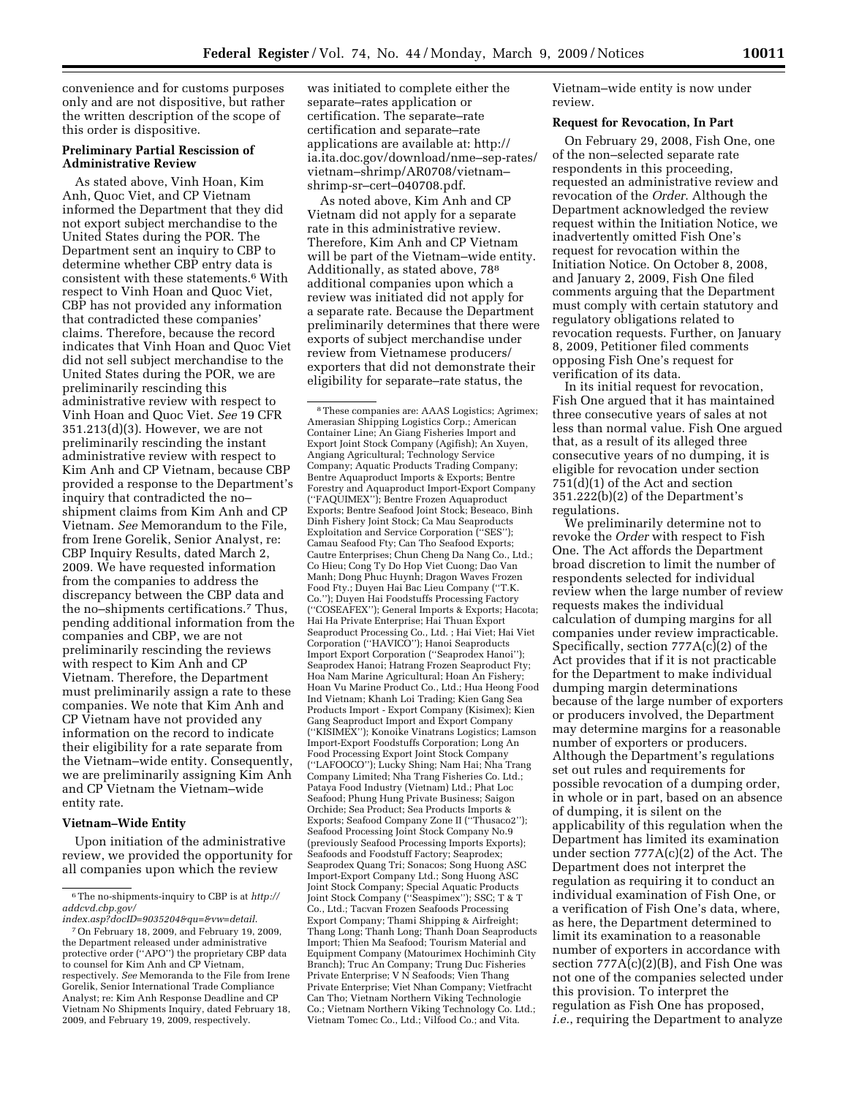convenience and for customs purposes only and are not dispositive, but rather the written description of the scope of this order is dispositive.

# **Preliminary Partial Rescission of Administrative Review**

As stated above, Vinh Hoan, Kim Anh, Quoc Viet, and CP Vietnam informed the Department that they did not export subject merchandise to the United States during the POR. The Department sent an inquiry to CBP to determine whether CBP entry data is consistent with these statements.6 With respect to Vinh Hoan and Quoc Viet, CBP has not provided any information that contradicted these companies' claims. Therefore, because the record indicates that Vinh Hoan and Quoc Viet did not sell subject merchandise to the United States during the POR, we are preliminarily rescinding this administrative review with respect to Vinh Hoan and Quoc Viet. *See* 19 CFR 351.213(d)(3). However, we are not preliminarily rescinding the instant administrative review with respect to Kim Anh and CP Vietnam, because CBP provided a response to the Department's inquiry that contradicted the no– shipment claims from Kim Anh and CP Vietnam. *See* Memorandum to the File, from Irene Gorelik, Senior Analyst, re: CBP Inquiry Results, dated March 2, 2009. We have requested information from the companies to address the discrepancy between the CBP data and the no–shipments certifications.7 Thus, pending additional information from the companies and CBP, we are not preliminarily rescinding the reviews with respect to Kim Anh and CP Vietnam. Therefore, the Department must preliminarily assign a rate to these companies. We note that Kim Anh and CP Vietnam have not provided any information on the record to indicate their eligibility for a rate separate from the Vietnam–wide entity. Consequently, we are preliminarily assigning Kim Anh and CP Vietnam the Vietnam–wide entity rate.

# **Vietnam–Wide Entity**

Upon initiation of the administrative review, we provided the opportunity for all companies upon which the review

was initiated to complete either the separate–rates application or certification. The separate–rate certification and separate–rate applications are available at: http:// ia.ita.doc.gov/download/nme–sep-rates/ vietnam–shrimp/AR0708/vietnam– shrimp-sr–cert–040708.pdf.

As noted above, Kim Anh and CP Vietnam did not apply for a separate rate in this administrative review. Therefore, Kim Anh and CP Vietnam will be part of the Vietnam–wide entity. Additionally, as stated above, 788 additional companies upon which a review was initiated did not apply for a separate rate. Because the Department preliminarily determines that there were exports of subject merchandise under review from Vietnamese producers/ exporters that did not demonstrate their eligibility for separate–rate status, the

8These companies are: AAAS Logistics; Agrimex; Amerasian Shipping Logistics Corp.; American Container Line; An Giang Fisheries Import and Export Joint Stock Company (Agifish); An Xuyen, Angiang Agricultural; Technology Service Company; Aquatic Products Trading Company; Bentre Aquaproduct Imports & Exports; Bentre Forestry and Aquaproduct Import-Export Company (''FAQUIMEX''); Bentre Frozen Aquaproduct Exports; Bentre Seafood Joint Stock; Beseaco, Binh Dinh Fishery Joint Stock; Ca Mau Seaproducts Exploitation and Service Corporation (''SES''); Camau Seafood Fty; Can Tho Seafood Exports; Cautre Enterprises; Chun Cheng Da Nang Co., Ltd.; Co Hieu; Cong Ty Do Hop Viet Cuong; Dao Van Manh; Dong Phuc Huynh; Dragon Waves Frozen Food Fty.; Duyen Hai Bac Lieu Company (''T.K. Co.''); Duyen Hai Foodstuffs Processing Factory (''COSEAFEX''); General Imports & Exports; Hacota; Hai Ha Private Enterprise; Hai Thuan Export Seaproduct Processing Co., Ltd. ; Hai Viet; Hai Viet Corporation (''HAVICO''); Hanoi Seaproducts Import Export Corporation (''Seaprodex Hanoi''); Seaprodex Hanoi; Hatrang Frozen Seaproduct Fty; Hoa Nam Marine Agricultural; Hoan An Fishery; Hoan Vu Marine Product Co., Ltd.; Hua Heong Food Ind Vietnam; Khanh Loi Trading; Kien Gang Sea Products Import - Export Company (Kisimex); Kien Gang Seaproduct Import and Export Company (''KISIMEX''); Konoike Vinatrans Logistics; Lamson Import-Export Foodstuffs Corporation; Long An Food Processing Export Joint Stock Company (''LAFOOCO''); Lucky Shing; Nam Hai; Nha Trang Company Limited; Nha Trang Fisheries Co. Ltd.; Pataya Food Industry (Vietnam) Ltd.; Phat Loc Seafood; Phung Hung Private Business; Saigon Orchide; Sea Product; Sea Products Imports & Exports; Seafood Company Zone II (''Thusaco2''); Seafood Processing Joint Stock Company No.9 (previously Seafood Processing Imports Exports); Seafoods and Foodstuff Factory; Seaprodex; Seaprodex Quang Tri; Sonacos; Song Huong ASC Import-Export Company Ltd.; Song Huong ASC Joint Stock Company; Special Aquatic Products Joint Stock Company (''Seaspimex''); SSC; T & T Co., Ltd.; Tacvan Frozen Seafoods Processing Export Company; Thami Shipping & Airfreight; Thang Long; Thanh Long; Thanh Doan Seaproducts Import; Thien Ma Seafood; Tourism Material and Equipment Company (Matourimex Hochiminh City Branch); Truc An Company; Trung Duc Fisheries Private Enterprise; V N Seafoods; Vien Thang Private Enterprise; Viet Nhan Company; Vietfracht Can Tho; Vietnam Northern Viking Technologie Co.; Vietnam Northern Viking Technology Co. Ltd.; Vietnam Tomec Co., Ltd.; Vilfood Co.; and Vita.

Vietnam–wide entity is now under review.

#### **Request for Revocation, In Part**

On February 29, 2008, Fish One, one of the non–selected separate rate respondents in this proceeding, requested an administrative review and revocation of the *Order*. Although the Department acknowledged the review request within the Initiation Notice, we inadvertently omitted Fish One's request for revocation within the Initiation Notice. On October 8, 2008, and January 2, 2009, Fish One filed comments arguing that the Department must comply with certain statutory and regulatory obligations related to revocation requests. Further, on January 8, 2009, Petitioner filed comments opposing Fish One's request for verification of its data.

In its initial request for revocation, Fish One argued that it has maintained three consecutive years of sales at not less than normal value. Fish One argued that, as a result of its alleged three consecutive years of no dumping, it is eligible for revocation under section 751(d)(1) of the Act and section 351.222(b)(2) of the Department's regulations.

We preliminarily determine not to revoke the *Order* with respect to Fish One. The Act affords the Department broad discretion to limit the number of respondents selected for individual review when the large number of review requests makes the individual calculation of dumping margins for all companies under review impracticable. Specifically, section 777A(c)(2) of the Act provides that if it is not practicable for the Department to make individual dumping margin determinations because of the large number of exporters or producers involved, the Department may determine margins for a reasonable number of exporters or producers. Although the Department's regulations set out rules and requirements for possible revocation of a dumping order, in whole or in part, based on an absence of dumping, it is silent on the applicability of this regulation when the Department has limited its examination under section 777A(c)(2) of the Act. The Department does not interpret the regulation as requiring it to conduct an individual examination of Fish One, or a verification of Fish One's data, where, as here, the Department determined to limit its examination to a reasonable number of exporters in accordance with section  $777A(c)(2)(B)$ , and Fish One was not one of the companies selected under this provision. To interpret the regulation as Fish One has proposed, *i.e.*, requiring the Department to analyze

 $^{\rm 6}$  The no-shipments-inquiry to CBP is at  $\ensuremath{http://}$ *addcvd.cbp.gov/* 

*index.asp?docID=9035204&qu=&vw=detail*. 7On February 18, 2009, and February 19, 2009, the Department released under administrative protective order (''APO'') the proprietary CBP data to counsel for Kim Anh and CP Vietnam, respectively. *See* Memoranda to the File from Irene Gorelik, Senior International Trade Compliance Analyst; re: Kim Anh Response Deadline and CP Vietnam No Shipments Inquiry, dated February 18, 2009, and February 19, 2009, respectively.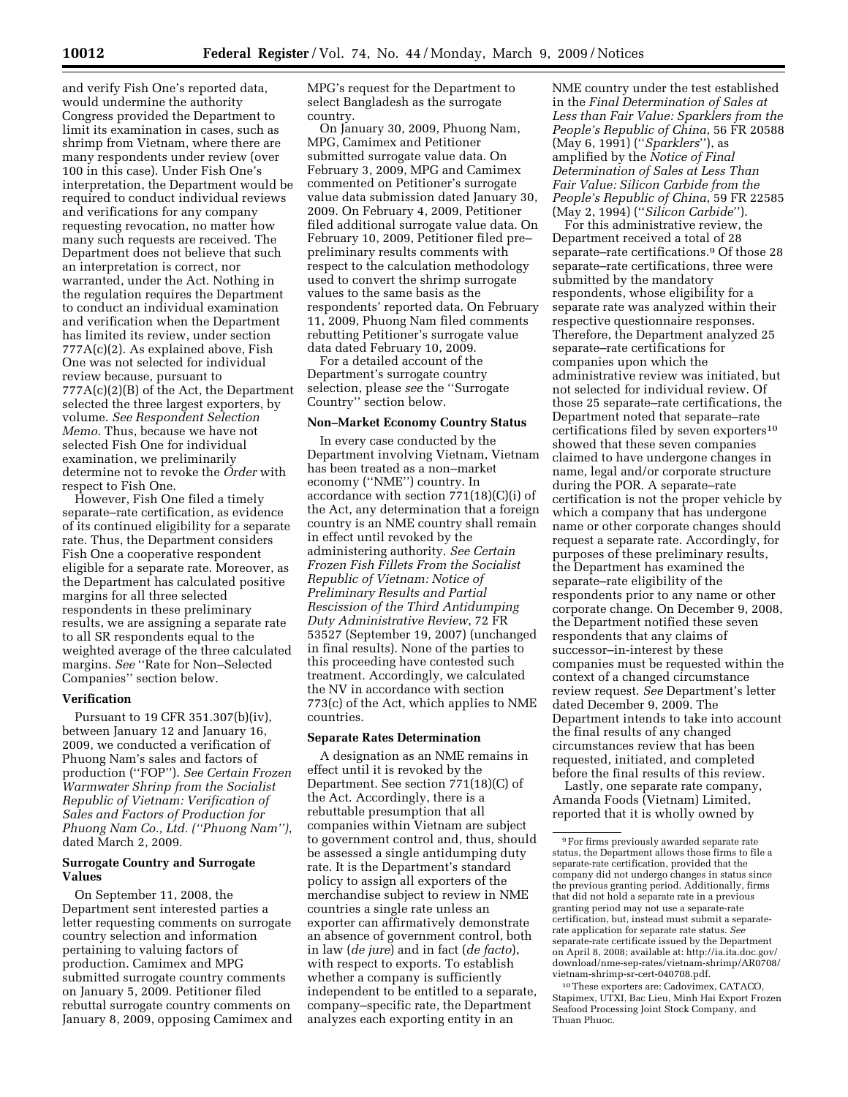and verify Fish One's reported data, would undermine the authority Congress provided the Department to limit its examination in cases, such as shrimp from Vietnam, where there are many respondents under review (over 100 in this case). Under Fish One's interpretation, the Department would be required to conduct individual reviews and verifications for any company requesting revocation, no matter how many such requests are received. The Department does not believe that such an interpretation is correct, nor warranted, under the Act. Nothing in the regulation requires the Department to conduct an individual examination and verification when the Department has limited its review, under section 777A(c)(2). As explained above, Fish One was not selected for individual review because, pursuant to 777A(c)(2)(B) of the Act, the Department selected the three largest exporters, by volume. *See Respondent Selection Memo*. Thus, because we have not selected Fish One for individual examination, we preliminarily determine not to revoke the *Order* with respect to Fish One.

However, Fish One filed a timely separate–rate certification, as evidence of its continued eligibility for a separate rate. Thus, the Department considers Fish One a cooperative respondent eligible for a separate rate. Moreover, as the Department has calculated positive margins for all three selected respondents in these preliminary results, we are assigning a separate rate to all SR respondents equal to the weighted average of the three calculated margins. *See* ''Rate for Non–Selected Companies'' section below.

## **Verification**

Pursuant to 19 CFR 351.307(b)(iv), between January 12 and January 16, 2009, we conducted a verification of Phuong Nam's sales and factors of production (''FOP''). *See Certain Frozen Warmwater Shrinp from the Socialist Republic of Vietnam: Verification of Sales and Factors of Production for Phuong Nam Co., Ltd. (''Phuong Nam'')*, dated March 2, 2009.

# **Surrogate Country and Surrogate Values**

On September 11, 2008, the Department sent interested parties a letter requesting comments on surrogate country selection and information pertaining to valuing factors of production. Camimex and MPG submitted surrogate country comments on January 5, 2009. Petitioner filed rebuttal surrogate country comments on January 8, 2009, opposing Camimex and MPG's request for the Department to select Bangladesh as the surrogate country.

On January 30, 2009, Phuong Nam, MPG, Camimex and Petitioner submitted surrogate value data. On February 3, 2009, MPG and Camimex commented on Petitioner's surrogate value data submission dated January 30, 2009. On February 4, 2009, Petitioner filed additional surrogate value data. On February 10, 2009, Petitioner filed pre– preliminary results comments with respect to the calculation methodology used to convert the shrimp surrogate values to the same basis as the respondents' reported data. On February 11, 2009, Phuong Nam filed comments rebutting Petitioner's surrogate value data dated February 10, 2009.

For a detailed account of the Department's surrogate country selection, please *see* the ''Surrogate Country'' section below.

#### **Non–Market Economy Country Status**

In every case conducted by the Department involving Vietnam, Vietnam has been treated as a non–market economy (''NME'') country. In accordance with section 771(18)(C)(i) of the Act, any determination that a foreign country is an NME country shall remain in effect until revoked by the administering authority. *See Certain Frozen Fish Fillets From the Socialist Republic of Vietnam: Notice of Preliminary Results and Partial Rescission of the Third Antidumping Duty Administrative Review*, 72 FR 53527 (September 19, 2007) (unchanged in final results). None of the parties to this proceeding have contested such treatment. Accordingly, we calculated the NV in accordance with section 773(c) of the Act, which applies to NME countries.

### **Separate Rates Determination**

A designation as an NME remains in effect until it is revoked by the Department. See section 771(18)(C) of the Act. Accordingly, there is a rebuttable presumption that all companies within Vietnam are subject to government control and, thus, should be assessed a single antidumping duty rate. It is the Department's standard policy to assign all exporters of the merchandise subject to review in NME countries a single rate unless an exporter can affirmatively demonstrate an absence of government control, both in law (*de jure*) and in fact (*de facto*), with respect to exports. To establish whether a company is sufficiently independent to be entitled to a separate, company–specific rate, the Department analyzes each exporting entity in an

NME country under the test established in the *Final Determination of Sales at Less than Fair Value: Sparklers from the People's Republic of China*, 56 FR 20588 (May 6, 1991) (''*Sparklers*''), as amplified by the *Notice of Final Determination of Sales at Less Than Fair Value: Silicon Carbide from the People's Republic of China*, 59 FR 22585 (May 2, 1994) (''*Silicon Carbide*'').

For this administrative review, the Department received a total of 28 separate–rate certifications.9 Of those 28 separate–rate certifications, three were submitted by the mandatory respondents, whose eligibility for a separate rate was analyzed within their respective questionnaire responses. Therefore, the Department analyzed 25 separate–rate certifications for companies upon which the administrative review was initiated, but not selected for individual review. Of those 25 separate–rate certifications, the Department noted that separate–rate certifications filed by seven exporters<sup>10</sup> showed that these seven companies claimed to have undergone changes in name, legal and/or corporate structure during the POR. A separate–rate certification is not the proper vehicle by which a company that has undergone name or other corporate changes should request a separate rate. Accordingly, for purposes of these preliminary results, the Department has examined the separate–rate eligibility of the respondents prior to any name or other corporate change. On December 9, 2008, the Department notified these seven respondents that any claims of successor–in-interest by these companies must be requested within the context of a changed circumstance review request. *See* Department's letter dated December 9, 2009. The Department intends to take into account the final results of any changed circumstances review that has been requested, initiated, and completed before the final results of this review.

Lastly, one separate rate company, Amanda Foods (Vietnam) Limited, reported that it is wholly owned by

10These exporters are: Cadovimex, CATACO, Stapimex, UTXI, Bac Lieu, Minh Hai Export Frozen Seafood Processing Joint Stock Company, and Thuan Phuoc.

<sup>9</sup>For firms previously awarded separate rate status, the Department allows those firms to file a separate-rate certification, provided that the company did not undergo changes in status since the previous granting period. Additionally, firms that did not hold a separate rate in a previous granting period may not use a separate-rate certification, but, instead must submit a separaterate application for separate rate status. *See*  separate-rate certificate issued by the Department on April 8, 2008; available at: http://ia.ita.doc.gov/ download/nme-sep-rates/vietnam-shrimp/AR0708/ vietnam-shrimp-sr-cert-040708.pdf.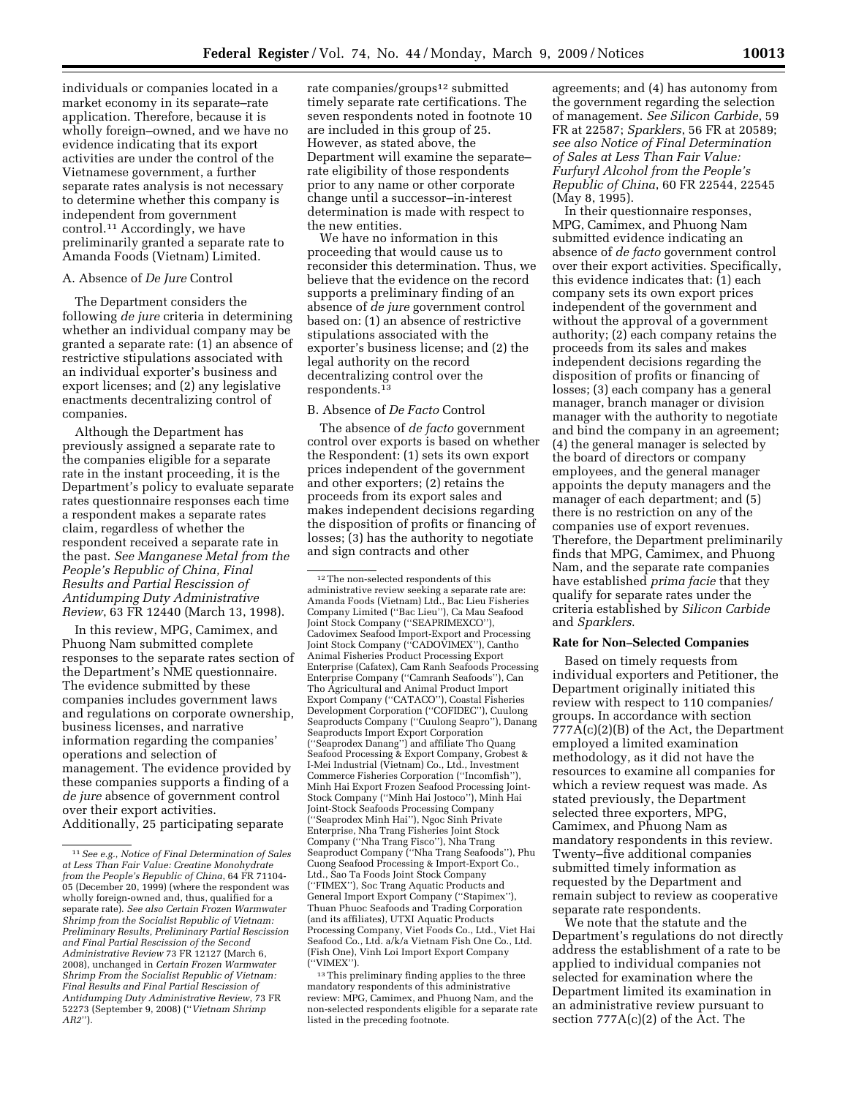individuals or companies located in a market economy in its separate–rate application. Therefore, because it is wholly foreign–owned, and we have no evidence indicating that its export activities are under the control of the Vietnamese government, a further separate rates analysis is not necessary to determine whether this company is independent from government control.11 Accordingly, we have preliminarily granted a separate rate to Amanda Foods (Vietnam) Limited.

## A. Absence of *De Jure* Control

The Department considers the following *de jure* criteria in determining whether an individual company may be granted a separate rate: (1) an absence of restrictive stipulations associated with an individual exporter's business and export licenses; and (2) any legislative enactments decentralizing control of companies.

Although the Department has previously assigned a separate rate to the companies eligible for a separate rate in the instant proceeding, it is the Department's policy to evaluate separate rates questionnaire responses each time a respondent makes a separate rates claim, regardless of whether the respondent received a separate rate in the past. *See Manganese Metal from the People's Republic of China, Final Results and Partial Rescission of Antidumping Duty Administrative Review*, 63 FR 12440 (March 13, 1998).

In this review, MPG, Camimex, and Phuong Nam submitted complete responses to the separate rates section of the Department's NME questionnaire. The evidence submitted by these companies includes government laws and regulations on corporate ownership, business licenses, and narrative information regarding the companies' operations and selection of management. The evidence provided by these companies supports a finding of a *de jure* absence of government control over their export activities. Additionally, 25 participating separate

rate companies/groups<sup>12</sup> submitted timely separate rate certifications. The seven respondents noted in footnote 10 are included in this group of 25. However, as stated above, the Department will examine the separate– rate eligibility of those respondents prior to any name or other corporate change until a successor–in-interest determination is made with respect to the new entities.

We have no information in this proceeding that would cause us to reconsider this determination. Thus, we believe that the evidence on the record supports a preliminary finding of an absence of *de jure* government control based on: (1) an absence of restrictive stipulations associated with the exporter's business license; and (2) the legal authority on the record decentralizing control over the respondents.13

## B. Absence of *De Facto* Control

The absence of *de facto* government control over exports is based on whether the Respondent: (1) sets its own export prices independent of the government and other exporters; (2) retains the proceeds from its export sales and makes independent decisions regarding the disposition of profits or financing of losses; (3) has the authority to negotiate and sign contracts and other

12The non-selected respondents of this administrative review seeking a separate rate are: Amanda Foods (Vietnam) Ltd., Bac Lieu Fisheries Company Limited (''Bac Lieu''), Ca Mau Seafood Joint Stock Company (''SEAPRIMEXCO''), Cadovimex Seafood Import-Export and Processing Joint Stock Company ("CADOVIMEX"), Cantho Animal Fisheries Product Processing Export Enterprise (Cafatex), Cam Ranh Seafoods Processing Enterprise Company (''Camranh Seafoods''), Can Tho Agricultural and Animal Product Import Export Company (''CATACO''), Coastal Fisheries Development Corporation (''COFIDEC''), Cuulong Seaproducts Company (''Cuulong Seapro''), Danang Seaproducts Import Export Corporation (''Seaprodex Danang'') and affiliate Tho Quang Seafood Processing & Export Company, Grobest & I-Mei Industrial (Vietnam) Co., Ltd., Investment Commerce Fisheries Corporation (''Incomfish''), Minh Hai Export Frozen Seafood Processing Joint-Stock Company (''Minh Hai Jostoco''), Minh Hai Joint-Stock Seafoods Processing Company (''Seaprodex Minh Hai''), Ngoc Sinh Private Enterprise, Nha Trang Fisheries Joint Stock Company (''Nha Trang Fisco''), Nha Trang Seaproduct Company (''Nha Trang Seafoods''), Phu Cuong Seafood Processing & Import-Export Co., Ltd., Sao Ta Foods Joint Stock Company (''FIMEX''), Soc Trang Aquatic Products and General Import Export Company (''Stapimex''), Thuan Phuoc Seafoods and Trading Corporation (and its affiliates), UTXI Aquatic Products Processing Company, Viet Foods Co., Ltd., Viet Hai Seafood Co., Ltd. a/k/a Vietnam Fish One Co., Ltd. (Fish One), Vinh Loi Import Export Company (''VIMEX'').

13This preliminary finding applies to the three mandatory respondents of this administrative review: MPG, Camimex, and Phuong Nam, and the non-selected respondents eligible for a separate rate listed in the preceding footnote.

agreements; and (4) has autonomy from the government regarding the selection of management. *See Silicon Carbide*, 59 FR at 22587; *Sparklers*, 56 FR at 20589; *see also Notice of Final Determination of Sales at Less Than Fair Value: Furfuryl Alcohol from the People's Republic of China*, 60 FR 22544, 22545 (May 8, 1995).

In their questionnaire responses, MPG, Camimex, and Phuong Nam submitted evidence indicating an absence of *de facto* government control over their export activities. Specifically, this evidence indicates that: (1) each company sets its own export prices independent of the government and without the approval of a government authority; (2) each company retains the proceeds from its sales and makes independent decisions regarding the disposition of profits or financing of losses; (3) each company has a general manager, branch manager or division manager with the authority to negotiate and bind the company in an agreement; (4) the general manager is selected by the board of directors or company employees, and the general manager appoints the deputy managers and the manager of each department; and (5) there is no restriction on any of the companies use of export revenues. Therefore, the Department preliminarily finds that MPG, Camimex, and Phuong Nam, and the separate rate companies have established *prima facie* that they qualify for separate rates under the criteria established by *Silicon Carbide*  and *Sparklers*.

#### **Rate for Non–Selected Companies**

Based on timely requests from individual exporters and Petitioner, the Department originally initiated this review with respect to 110 companies/ groups. In accordance with section 777A(c)(2)(B) of the Act, the Department employed a limited examination methodology, as it did not have the resources to examine all companies for which a review request was made. As stated previously, the Department selected three exporters, MPG, Camimex, and Phuong Nam as mandatory respondents in this review. Twenty–five additional companies submitted timely information as requested by the Department and remain subject to review as cooperative separate rate respondents.

We note that the statute and the Department's regulations do not directly address the establishment of a rate to be applied to individual companies not selected for examination where the Department limited its examination in an administrative review pursuant to section 777A(c)(2) of the Act. The

<sup>11</sup>*See e.g.*, *Notice of Final Determination of Sales at Less Than Fair Value: Creatine Monohydrate from the People's Republic of China*, 64 FR 71104- 05 (December 20, 1999) (where the respondent was wholly foreign-owned and, thus, qualified for a separate rate). *See also Certain Frozen Warmwater Shrimp from the Socialist Republic of Vietnam: Preliminary Results, Preliminary Partial Rescission and Final Partial Rescission of the Second Administrative Review* 73 FR 12127 (March 6, 2008), unchanged in *Certain Frozen Warmwater Shrimp From the Socialist Republic of Vietnam: Final Results and Final Partial Rescission of Antidumping Duty Administrative Review*, 73 FR 52273 (September 9, 2008) (''*Vietnam Shrimp AR2*'').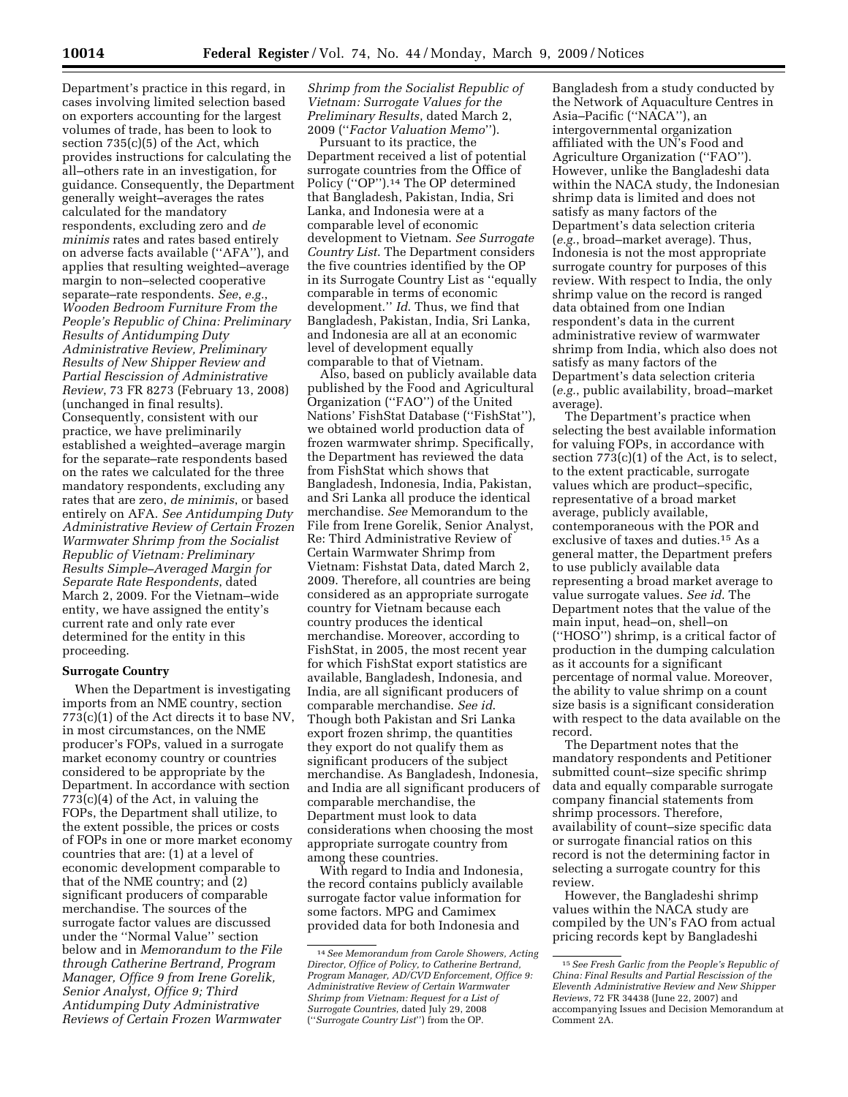Department's practice in this regard, in cases involving limited selection based on exporters accounting for the largest volumes of trade, has been to look to section 735(c)(5) of the Act, which provides instructions for calculating the all–others rate in an investigation, for guidance. Consequently, the Department generally weight–averages the rates calculated for the mandatory respondents, excluding zero and *de minimis* rates and rates based entirely on adverse facts available (''AFA''), and applies that resulting weighted–average margin to non–selected cooperative separate–rate respondents. *See*, *e.g.*, *Wooden Bedroom Furniture From the People's Republic of China: Preliminary Results of Antidumping Duty Administrative Review, Preliminary Results of New Shipper Review and Partial Rescission of Administrative Review*, 73 FR 8273 (February 13, 2008) (unchanged in final results). Consequently, consistent with our practice, we have preliminarily established a weighted–average margin for the separate–rate respondents based on the rates we calculated for the three mandatory respondents, excluding any rates that are zero, *de minimis*, or based entirely on AFA. *See Antidumping Duty Administrative Review of Certain Frozen Warmwater Shrimp from the Socialist Republic of Vietnam: Preliminary Results Simple–Averaged Margin for Separate Rate Respondents*, dated March 2, 2009. For the Vietnam–wide entity, we have assigned the entity's current rate and only rate ever determined for the entity in this proceeding.

## **Surrogate Country**

When the Department is investigating imports from an NME country, section 773(c)(1) of the Act directs it to base NV, in most circumstances, on the NME producer's FOPs, valued in a surrogate market economy country or countries considered to be appropriate by the Department. In accordance with section 773(c)(4) of the Act, in valuing the FOPs, the Department shall utilize, to the extent possible, the prices or costs of FOPs in one or more market economy countries that are: (1) at a level of economic development comparable to that of the NME country; and (2) significant producers of comparable merchandise. The sources of the surrogate factor values are discussed under the ''Normal Value'' section below and in *Memorandum to the File through Catherine Bertrand, Program Manager, Office 9 from Irene Gorelik, Senior Analyst, Office 9; Third Antidumping Duty Administrative Reviews of Certain Frozen Warmwater* 

*Shrimp from the Socialist Republic of Vietnam: Surrogate Values for the Preliminary Results*, dated March 2, 2009 (''*Factor Valuation Memo*'').

Pursuant to its practice, the Department received a list of potential surrogate countries from the Office of Policy (''OP'').14 The OP determined that Bangladesh, Pakistan, India, Sri Lanka, and Indonesia were at a comparable level of economic development to Vietnam. *See Surrogate Country List*. The Department considers the five countries identified by the OP in its Surrogate Country List as ''equally comparable in terms of economic development.'' *Id*. Thus, we find that Bangladesh, Pakistan, India, Sri Lanka, and Indonesia are all at an economic level of development equally comparable to that of Vietnam.

Also, based on publicly available data published by the Food and Agricultural Organization (''FAO'') of the United Nations' FishStat Database (''FishStat''), we obtained world production data of frozen warmwater shrimp. Specifically, the Department has reviewed the data from FishStat which shows that Bangladesh, Indonesia, India, Pakistan, and Sri Lanka all produce the identical merchandise. *See* Memorandum to the File from Irene Gorelik, Senior Analyst, Re: Third Administrative Review of Certain Warmwater Shrimp from Vietnam: Fishstat Data, dated March 2, 2009. Therefore, all countries are being considered as an appropriate surrogate country for Vietnam because each country produces the identical merchandise. Moreover, according to FishStat, in 2005, the most recent year for which FishStat export statistics are available, Bangladesh, Indonesia, and India, are all significant producers of comparable merchandise. *See id*. Though both Pakistan and Sri Lanka export frozen shrimp, the quantities they export do not qualify them as significant producers of the subject merchandise. As Bangladesh, Indonesia, and India are all significant producers of comparable merchandise, the Department must look to data considerations when choosing the most appropriate surrogate country from among these countries.

With regard to India and Indonesia, the record contains publicly available surrogate factor value information for some factors. MPG and Camimex provided data for both Indonesia and

Bangladesh from a study conducted by the Network of Aquaculture Centres in Asia–Pacific (''NACA''), an intergovernmental organization affiliated with the UN's Food and Agriculture Organization (''FAO''). However, unlike the Bangladeshi data within the NACA study, the Indonesian shrimp data is limited and does not satisfy as many factors of the Department's data selection criteria (*e.g.*, broad–market average). Thus, Indonesia is not the most appropriate surrogate country for purposes of this review. With respect to India, the only shrimp value on the record is ranged data obtained from one Indian respondent's data in the current administrative review of warmwater shrimp from India, which also does not satisfy as many factors of the Department's data selection criteria (*e.g.*, public availability, broad–market average).

The Department's practice when selecting the best available information for valuing FOPs, in accordance with section 773(c)(1) of the Act, is to select, to the extent practicable, surrogate values which are product–specific, representative of a broad market average, publicly available, contemporaneous with the POR and exclusive of taxes and duties.15 As a general matter, the Department prefers to use publicly available data representing a broad market average to value surrogate values. *See id*. The Department notes that the value of the main input, head–on, shell–on (''HOSO'') shrimp, is a critical factor of production in the dumping calculation as it accounts for a significant percentage of normal value. Moreover, the ability to value shrimp on a count size basis is a significant consideration with respect to the data available on the record.

The Department notes that the mandatory respondents and Petitioner submitted count–size specific shrimp data and equally comparable surrogate company financial statements from shrimp processors. Therefore, availability of count–size specific data or surrogate financial ratios on this record is not the determining factor in selecting a surrogate country for this review.

However, the Bangladeshi shrimp values within the NACA study are compiled by the UN's FAO from actual pricing records kept by Bangladeshi

<sup>14</sup>*See Memorandum from Carole Showers, Acting Director, Office of Policy, to Catherine Bertrand, Program Manager, AD/CVD Enforcement, Office 9: Administrative Review of Certain Warmwater Shrimp from Vietnam: Request for a List of Surrogate Countries*, dated July 29, 2008 (''*Surrogate Country List*'') from the OP.

<sup>15</sup>*See Fresh Garlic from the People's Republic of China: Final Results and Partial Rescission of the Eleventh Administrative Review and New Shipper Reviews*, 72 FR 34438 (June 22, 2007) and accompanying Issues and Decision Memorandum at Comment 2A.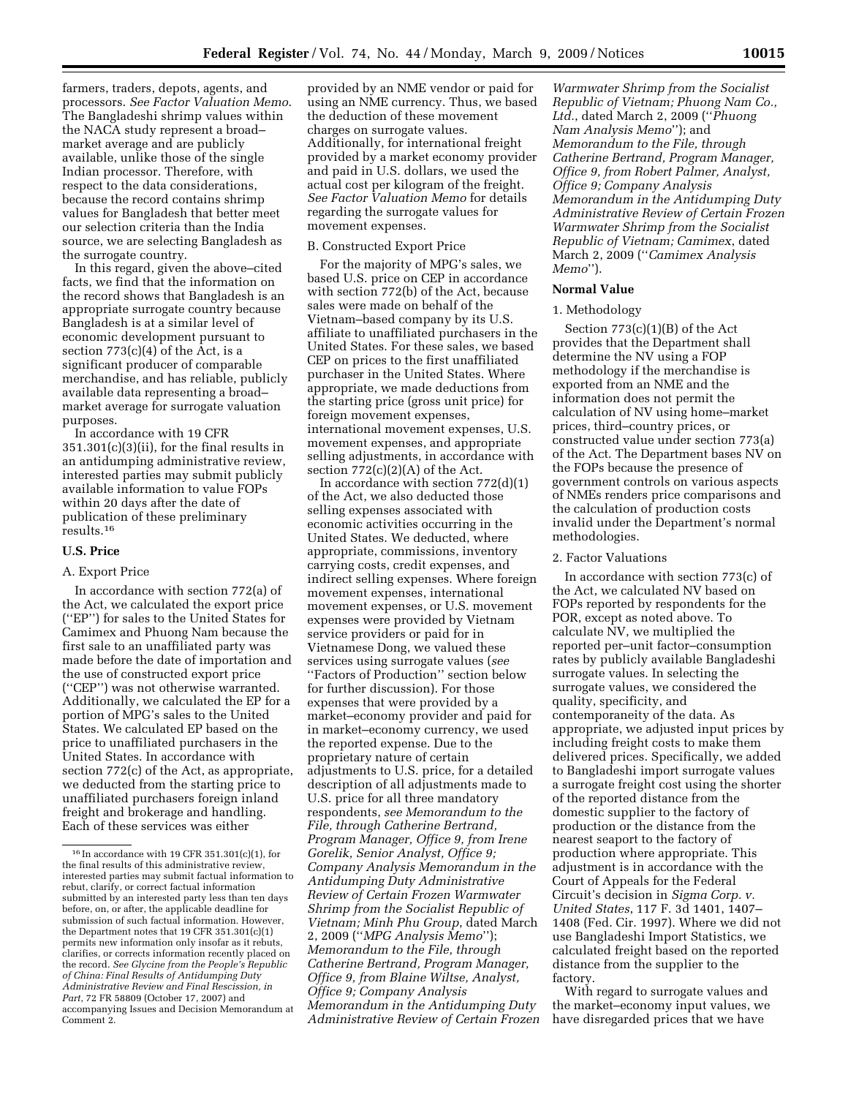farmers, traders, depots, agents, and processors. *See Factor Valuation Memo*. The Bangladeshi shrimp values within the NACA study represent a broad– market average and are publicly available, unlike those of the single Indian processor. Therefore, with respect to the data considerations, because the record contains shrimp values for Bangladesh that better meet our selection criteria than the India source, we are selecting Bangladesh as the surrogate country.

In this regard, given the above–cited facts, we find that the information on the record shows that Bangladesh is an appropriate surrogate country because Bangladesh is at a similar level of economic development pursuant to section  $773(c)(4)$  of the Act, is a significant producer of comparable merchandise, and has reliable, publicly available data representing a broad– market average for surrogate valuation purposes.

In accordance with 19 CFR 351.301(c)(3)(ii), for the final results in an antidumping administrative review, interested parties may submit publicly available information to value FOPs within 20 days after the date of publication of these preliminary results.16

## **U.S. Price**

## A. Export Price

In accordance with section 772(a) of the Act, we calculated the export price (''EP'') for sales to the United States for Camimex and Phuong Nam because the first sale to an unaffiliated party was made before the date of importation and the use of constructed export price (''CEP'') was not otherwise warranted. Additionally, we calculated the EP for a portion of MPG's sales to the United States. We calculated EP based on the price to unaffiliated purchasers in the United States. In accordance with section 772(c) of the Act, as appropriate, we deducted from the starting price to unaffiliated purchasers foreign inland freight and brokerage and handling. Each of these services was either

provided by an NME vendor or paid for using an NME currency. Thus, we based the deduction of these movement charges on surrogate values. Additionally, for international freight provided by a market economy provider and paid in U.S. dollars, we used the actual cost per kilogram of the freight. *See Factor Valuation Memo* for details regarding the surrogate values for movement expenses.

#### B. Constructed Export Price

For the majority of MPG's sales, we based U.S. price on CEP in accordance with section 772(b) of the Act, because sales were made on behalf of the Vietnam–based company by its U.S. affiliate to unaffiliated purchasers in the United States. For these sales, we based CEP on prices to the first unaffiliated purchaser in the United States. Where appropriate, we made deductions from the starting price (gross unit price) for foreign movement expenses, international movement expenses, U.S. movement expenses, and appropriate selling adjustments, in accordance with section  $772(c)(2)(A)$  of the Act.

In accordance with section  $772(d)(1)$ of the Act, we also deducted those selling expenses associated with economic activities occurring in the United States. We deducted, where appropriate, commissions, inventory carrying costs, credit expenses, and indirect selling expenses. Where foreign movement expenses, international movement expenses, or U.S. movement expenses were provided by Vietnam service providers or paid for in Vietnamese Dong, we valued these services using surrogate values (*see*  ''Factors of Production'' section below for further discussion). For those expenses that were provided by a market–economy provider and paid for in market–economy currency, we used the reported expense. Due to the proprietary nature of certain adjustments to U.S. price, for a detailed description of all adjustments made to U.S. price for all three mandatory respondents, *see Memorandum to the File, through Catherine Bertrand, Program Manager, Office 9, from Irene Gorelik, Senior Analyst, Office 9; Company Analysis Memorandum in the Antidumping Duty Administrative Review of Certain Frozen Warmwater Shrimp from the Socialist Republic of Vietnam; Minh Phu Group*, dated March 2, 2009 (''*MPG Analysis Memo*''); *Memorandum to the File, through Catherine Bertrand, Program Manager, Office 9, from Blaine Wiltse, Analyst, Office 9; Company Analysis Memorandum in the Antidumping Duty Administrative Review of Certain Frozen* 

*Warmwater Shrimp from the Socialist Republic of Vietnam; Phuong Nam Co., Ltd.*, dated March 2, 2009 (''*Phuong Nam Analysis Memo*''); and *Memorandum to the File, through Catherine Bertrand, Program Manager, Office 9, from Robert Palmer, Analyst, Office 9; Company Analysis Memorandum in the Antidumping Duty Administrative Review of Certain Frozen Warmwater Shrimp from the Socialist Republic of Vietnam; Camimex*, dated March 2, 2009 (''*Camimex Analysis Memo*'').

## **Normal Value**

## 1. Methodology

Section 773(c)(1)(B) of the Act provides that the Department shall determine the NV using a FOP methodology if the merchandise is exported from an NME and the information does not permit the calculation of NV using home–market prices, third–country prices, or constructed value under section 773(a) of the Act. The Department bases NV on the FOPs because the presence of government controls on various aspects of NMEs renders price comparisons and the calculation of production costs invalid under the Department's normal methodologies.

#### 2. Factor Valuations

In accordance with section 773(c) of the Act, we calculated NV based on FOPs reported by respondents for the POR, except as noted above. To calculate NV, we multiplied the reported per–unit factor–consumption rates by publicly available Bangladeshi surrogate values. In selecting the surrogate values, we considered the quality, specificity, and contemporaneity of the data. As appropriate, we adjusted input prices by including freight costs to make them delivered prices. Specifically, we added to Bangladeshi import surrogate values a surrogate freight cost using the shorter of the reported distance from the domestic supplier to the factory of production or the distance from the nearest seaport to the factory of production where appropriate. This adjustment is in accordance with the Court of Appeals for the Federal Circuit's decision in *Sigma Corp. v. United States*, 117 F. 3d 1401, 1407– 1408 (Fed. Cir. 1997). Where we did not use Bangladeshi Import Statistics, we calculated freight based on the reported distance from the supplier to the factory.

With regard to surrogate values and the market–economy input values, we have disregarded prices that we have

<sup>16</sup> In accordance with 19 CFR 351.301(c)(1), for the final results of this administrative review, interested parties may submit factual information to rebut, clarify, or correct factual information submitted by an interested party less than ten days before, on, or after, the applicable deadline for submission of such factual information. However, the Department notes that 19 CFR 351.301(c)(1) permits new information only insofar as it rebuts, clarifies, or corrects information recently placed on the record. *See Glycine from the People's Republic of China: Final Results of Antidumping Duty Administrative Review and Final Rescission, in Part*, 72 FR 58809 (October 17, 2007) and accompanying Issues and Decision Memorandum at Comment 2.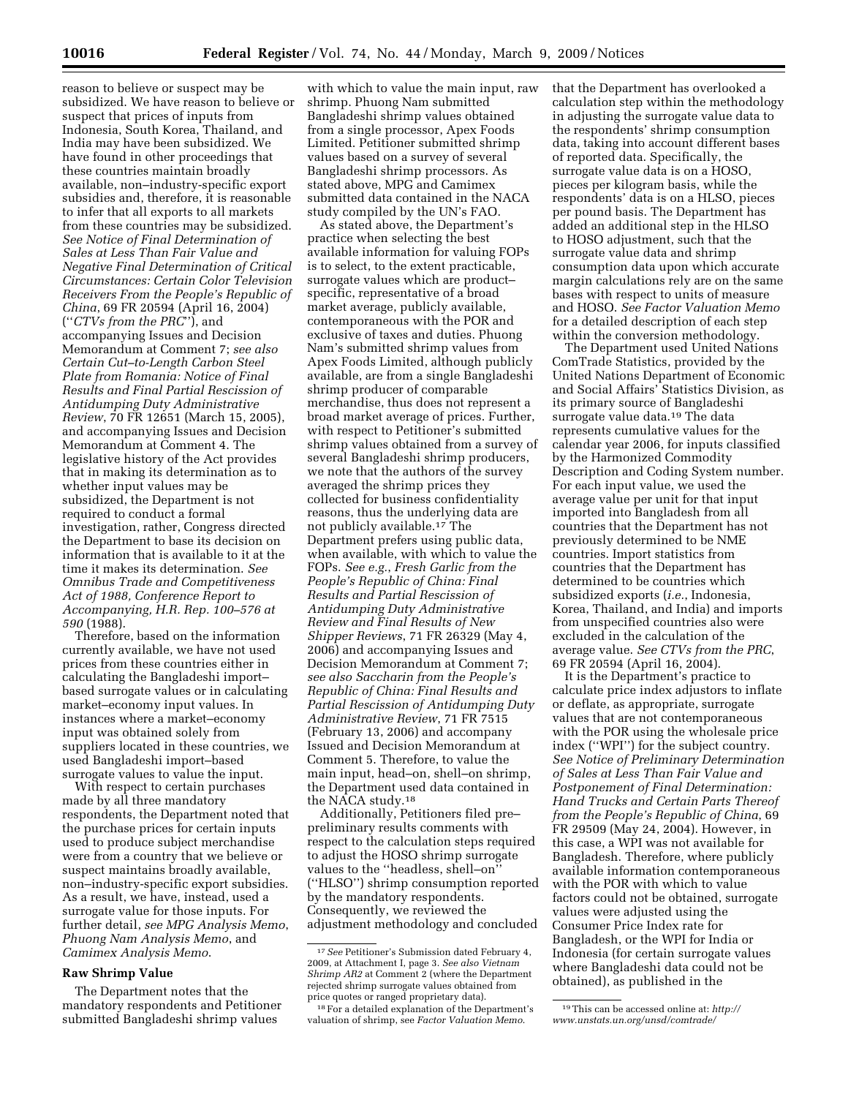reason to believe or suspect may be subsidized. We have reason to believe or suspect that prices of inputs from Indonesia, South Korea, Thailand, and India may have been subsidized. We have found in other proceedings that these countries maintain broadly available, non–industry-specific export subsidies and, therefore, it is reasonable to infer that all exports to all markets from these countries may be subsidized. *See Notice of Final Determination of Sales at Less Than Fair Value and Negative Final Determination of Critical Circumstances: Certain Color Television Receivers From the People's Republic of China*, 69 FR 20594 (April 16, 2004) (''*CTVs from the PRC*''), and accompanying Issues and Decision Memorandum at Comment 7; *see also Certain Cut–to-Length Carbon Steel Plate from Romania: Notice of Final Results and Final Partial Rescission of Antidumping Duty Administrative Review*, 70 FR 12651 (March 15, 2005), and accompanying Issues and Decision Memorandum at Comment 4. The legislative history of the Act provides that in making its determination as to whether input values may be subsidized, the Department is not required to conduct a formal investigation, rather, Congress directed the Department to base its decision on information that is available to it at the time it makes its determination. *See Omnibus Trade and Competitiveness Act of 1988, Conference Report to Accompanying, H.R. Rep. 100–576 at 590* (1988).

Therefore, based on the information currently available, we have not used prices from these countries either in calculating the Bangladeshi import– based surrogate values or in calculating market–economy input values. In instances where a market–economy input was obtained solely from suppliers located in these countries, we used Bangladeshi import–based surrogate values to value the input.

With respect to certain purchases made by all three mandatory respondents, the Department noted that the purchase prices for certain inputs used to produce subject merchandise were from a country that we believe or suspect maintains broadly available, non–industry-specific export subsidies. As a result, we have, instead, used a surrogate value for those inputs. For further detail, *see MPG Analysis Memo*, *Phuong Nam Analysis Memo*, and *Camimex Analysis Memo*.

## **Raw Shrimp Value**

The Department notes that the mandatory respondents and Petitioner submitted Bangladeshi shrimp values

with which to value the main input, raw shrimp. Phuong Nam submitted Bangladeshi shrimp values obtained from a single processor, Apex Foods Limited. Petitioner submitted shrimp values based on a survey of several Bangladeshi shrimp processors. As stated above, MPG and Camimex submitted data contained in the NACA study compiled by the UN's FAO.

As stated above, the Department's practice when selecting the best available information for valuing FOPs is to select, to the extent practicable, surrogate values which are product– specific, representative of a broad market average, publicly available, contemporaneous with the POR and exclusive of taxes and duties. Phuong Nam's submitted shrimp values from Apex Foods Limited, although publicly available, are from a single Bangladeshi shrimp producer of comparable merchandise, thus does not represent a broad market average of prices. Further, with respect to Petitioner's submitted shrimp values obtained from a survey of several Bangladeshi shrimp producers, we note that the authors of the survey averaged the shrimp prices they collected for business confidentiality reasons, thus the underlying data are not publicly available.17 The Department prefers using public data, when available, with which to value the FOPs. *See e.g.*, *Fresh Garlic from the People's Republic of China: Final Results and Partial Rescission of Antidumping Duty Administrative Review and Final Results of New Shipper Reviews*, 71 FR 26329 (May 4, 2006) and accompanying Issues and Decision Memorandum at Comment 7; *see also Saccharin from the People's Republic of China: Final Results and Partial Rescission of Antidumping Duty Administrative Review*, 71 FR 7515 (February 13, 2006) and accompany Issued and Decision Memorandum at Comment 5. Therefore, to value the main input, head–on, shell–on shrimp, the Department used data contained in the NACA study.18

Additionally, Petitioners filed pre– preliminary results comments with respect to the calculation steps required to adjust the HOSO shrimp surrogate values to the ''headless, shell–on'' (''HLSO'') shrimp consumption reported by the mandatory respondents. Consequently, we reviewed the adjustment methodology and concluded that the Department has overlooked a calculation step within the methodology in adjusting the surrogate value data to the respondents' shrimp consumption data, taking into account different bases of reported data. Specifically, the surrogate value data is on a HOSO, pieces per kilogram basis, while the respondents' data is on a HLSO, pieces per pound basis. The Department has added an additional step in the HLSO to HOSO adjustment, such that the surrogate value data and shrimp consumption data upon which accurate margin calculations rely are on the same bases with respect to units of measure and HOSO. *See Factor Valuation Memo*  for a detailed description of each step within the conversion methodology.

The Department used United Nations ComTrade Statistics, provided by the United Nations Department of Economic and Social Affairs' Statistics Division, as its primary source of Bangladeshi surrogate value data.19 The data represents cumulative values for the calendar year 2006, for inputs classified by the Harmonized Commodity Description and Coding System number. For each input value, we used the average value per unit for that input imported into Bangladesh from all countries that the Department has not previously determined to be NME countries. Import statistics from countries that the Department has determined to be countries which subsidized exports (*i.e.*, Indonesia, Korea, Thailand, and India) and imports from unspecified countries also were excluded in the calculation of the average value. *See CTVs from the PRC*, 69 FR 20594 (April 16, 2004).

It is the Department's practice to calculate price index adjustors to inflate or deflate, as appropriate, surrogate values that are not contemporaneous with the POR using the wholesale price index (''WPI'') for the subject country. *See Notice of Preliminary Determination of Sales at Less Than Fair Value and Postponement of Final Determination: Hand Trucks and Certain Parts Thereof from the People's Republic of China*, 69 FR 29509 (May 24, 2004). However, in this case, a WPI was not available for Bangladesh. Therefore, where publicly available information contemporaneous with the POR with which to value factors could not be obtained, surrogate values were adjusted using the Consumer Price Index rate for Bangladesh, or the WPI for India or Indonesia (for certain surrogate values where Bangladeshi data could not be obtained), as published in the

<sup>17</sup>*See* Petitioner's Submission dated February 4, 2009, at Attachment I, page 3. *See also Vietnam Shrimp AR2* at Comment 2 (where the Department rejected shrimp surrogate values obtained from price quotes or ranged proprietary data).

<sup>18</sup>For a detailed explanation of the Department's valuation of shrimp, see *Factor Valuation Memo*.

<sup>19</sup>This can be accessed online at: *http:// www.unstats.un.org/unsd/comtrade/*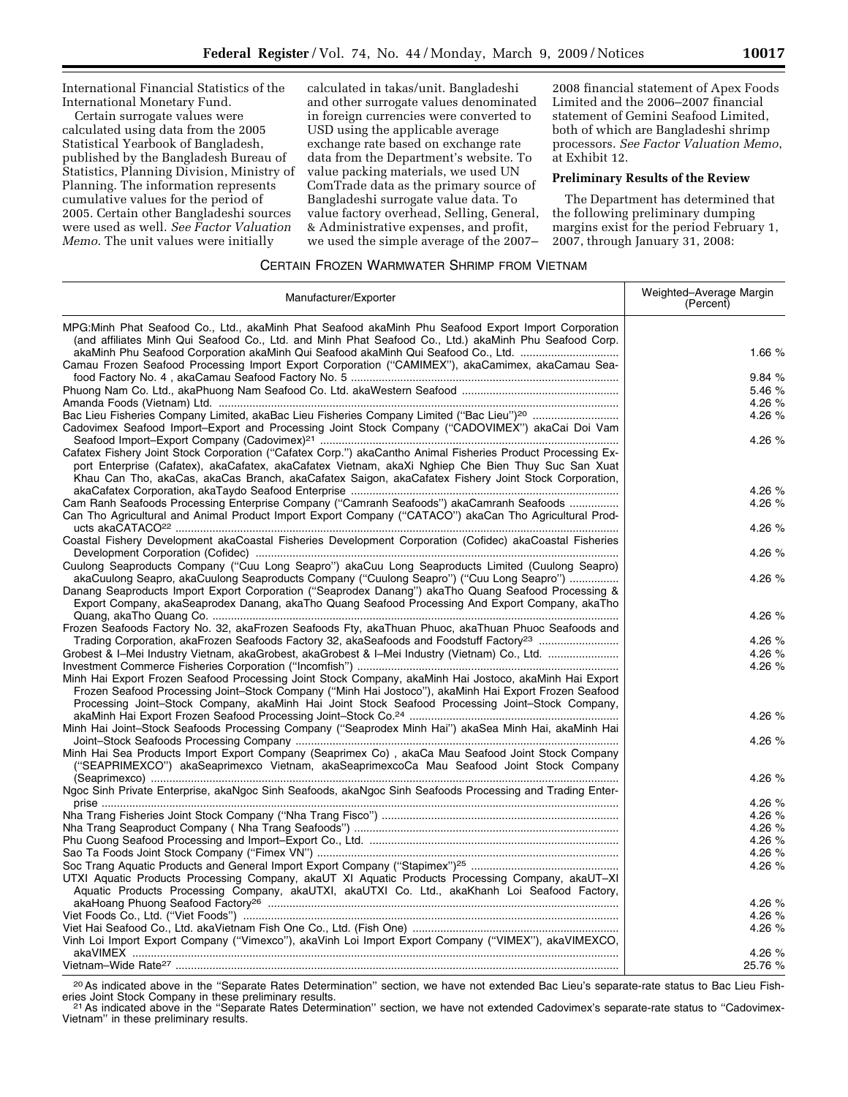International Financial Statistics of the International Monetary Fund.

Certain surrogate values were calculated using data from the 2005 Statistical Yearbook of Bangladesh, published by the Bangladesh Bureau of Statistics, Planning Division, Ministry of Planning. The information represents cumulative values for the period of 2005. Certain other Bangladeshi sources were used as well. *See Factor Valuation Memo*. The unit values were initially

calculated in takas/unit. Bangladeshi and other surrogate values denominated in foreign currencies were converted to USD using the applicable average exchange rate based on exchange rate data from the Department's website. To value packing materials, we used UN ComTrade data as the primary source of Bangladeshi surrogate value data. To value factory overhead, Selling, General, & Administrative expenses, and profit, we used the simple average of the 2007–

2008 financial statement of Apex Foods Limited and the 2006–2007 financial statement of Gemini Seafood Limited, both of which are Bangladeshi shrimp processors. *See Factor Valuation Memo*, at Exhibit 12.

## **Preliminary Results of the Review**

The Department has determined that the following preliminary dumping margins exist for the period February 1, 2007, through January 31, 2008:

## CERTAIN FROZEN WARMWATER SHRIMP FROM VIETNAM

| Manufacturer/Exporter                                                                                                                                                                                                                                                                                                    | Weighted-Average Margin<br>(Percent) |
|--------------------------------------------------------------------------------------------------------------------------------------------------------------------------------------------------------------------------------------------------------------------------------------------------------------------------|--------------------------------------|
| MPG: Minh Phat Seafood Co., Ltd., akaMinh Phat Seafood akaMinh Phu Seafood Export Import Corporation<br>(and affiliates Minh Qui Seafood Co., Ltd. and Minh Phat Seafood Co., Ltd.) akaMinh Phu Seafood Corp.<br>akaMinh Phu Seafood Corporation akaMinh Qui Seafood akaMinh Qui Seafood Co., Ltd.                       | 1.66 $%$                             |
| Camau Frozen Seafood Processing Import Export Corporation ("CAMIMEX"), akaCamimex, akaCamau Sea-                                                                                                                                                                                                                         |                                      |
|                                                                                                                                                                                                                                                                                                                          | 9.84 %                               |
|                                                                                                                                                                                                                                                                                                                          | 5.46 %                               |
|                                                                                                                                                                                                                                                                                                                          | 4.26 %                               |
| Bac Lieu Fisheries Company Limited, akaBac Lieu Fisheries Company Limited ("Bac Lieu") <sup>20</sup>                                                                                                                                                                                                                     | 4.26 %                               |
| Cadovimex Seafood Import-Export and Processing Joint Stock Company ("CADOVIMEX") akaCai Doi Vam                                                                                                                                                                                                                          |                                      |
|                                                                                                                                                                                                                                                                                                                          | 4.26 %                               |
| Cafatex Fishery Joint Stock Corporation ("Cafatex Corp.") akaCantho Animal Fisheries Product Processing Ex-<br>port Enterprise (Cafatex), akaCafatex, akaCafatex Vietnam, akaXi Nghiep Che Bien Thuy Suc San Xuat<br>Khau Can Tho, akaCas, akaCas Branch, akaCafatex Saigon, akaCafatex Fishery Joint Stock Corporation, |                                      |
|                                                                                                                                                                                                                                                                                                                          | 4.26 %                               |
| Cam Ranh Seafoods Processing Enterprise Company ("Camranh Seafoods") akaCamranh Seafoods                                                                                                                                                                                                                                 | 4.26 %                               |
| Can Tho Agricultural and Animal Product Import Export Company ("CATACO") akaCan Tho Agricultural Prod-                                                                                                                                                                                                                   |                                      |
|                                                                                                                                                                                                                                                                                                                          | 4.26 %                               |
| Coastal Fishery Development akaCoastal Fisheries Development Corporation (Cofidec) akaCoastal Fisheries                                                                                                                                                                                                                  |                                      |
|                                                                                                                                                                                                                                                                                                                          | 4.26 %                               |
| Cuulong Seaproducts Company ("Cuu Long Seapro") akaCuu Long Seaproducts Limited (Cuulong Seapro)                                                                                                                                                                                                                         |                                      |
| akaCuulong Seapro, akaCuulong Seaproducts Company ("Cuulong Seapro") ("Cuu Long Seapro")<br>Danang Seaproducts Import Export Corporation ("Seaprodex Danang") akaTho Quang Seafood Processing &<br>Export Company, akaSeaprodex Danang, akaTho Quang Seafood Processing And Export Company, akaTho                       | 4.26 %                               |
|                                                                                                                                                                                                                                                                                                                          | 4.26 %                               |
| Frozen Seafoods Factory No. 32, akaFrozen Seafoods Fty, akaThuan Phuoc, akaThuan Phuoc Seafoods and                                                                                                                                                                                                                      |                                      |
|                                                                                                                                                                                                                                                                                                                          | 4.26 %                               |
| Grobest & I-Mei Industry Vietnam, akaGrobest, akaGrobest & I-Mei Industry (Vietnam) Co., Ltd.                                                                                                                                                                                                                            | 4.26 %                               |
|                                                                                                                                                                                                                                                                                                                          | 4.26 %                               |
| Minh Hai Export Frozen Seafood Processing Joint Stock Company, akaMinh Hai Jostoco, akaMinh Hai Export<br>Frozen Seafood Processing Joint-Stock Company ("Minh Hai Jostoco"), akaMinh Hai Export Frozen Seafood<br>Processing Joint-Stock Company, akaMinh Hai Joint Stock Seafood Processing Joint-Stock Company,       |                                      |
|                                                                                                                                                                                                                                                                                                                          | 4.26 %                               |
| Minh Hai Joint-Stock Seafoods Processing Company ("Seaprodex Minh Hai") akaSea Minh Hai, akaMinh Hai                                                                                                                                                                                                                     |                                      |
| Minh Hai Sea Products Import Export Company (Seaprimex Co), akaCa Mau Seafood Joint Stock Company<br>("SEAPRIMEXCO") akaSeaprimexco Vietnam, akaSeaprimexcoCa Mau Seafood Joint Stock Company                                                                                                                            | 4.26 %                               |
|                                                                                                                                                                                                                                                                                                                          | 4.26 %                               |
| Ngoc Sinh Private Enterprise, akaNgoc Sinh Seafoods, akaNgoc Sinh Seafoods Processing and Trading Enter-                                                                                                                                                                                                                 |                                      |
|                                                                                                                                                                                                                                                                                                                          | 4.26 %                               |
|                                                                                                                                                                                                                                                                                                                          | 4.26 %                               |
|                                                                                                                                                                                                                                                                                                                          | 4.26 %                               |
|                                                                                                                                                                                                                                                                                                                          | 4.26 %                               |
|                                                                                                                                                                                                                                                                                                                          | 4.26 %                               |
|                                                                                                                                                                                                                                                                                                                          | 4.26 %                               |
| UTXI Aquatic Products Processing Company, akaUT XI Aquatic Products Processing Company, akaUT-XI                                                                                                                                                                                                                         |                                      |
| Aquatic Products Processing Company, akaUTXI, akaUTXI Co. Ltd., akaKhanh Loi Seafood Factory,                                                                                                                                                                                                                            |                                      |
|                                                                                                                                                                                                                                                                                                                          | 4.26 %                               |
|                                                                                                                                                                                                                                                                                                                          | 4.26 %                               |
|                                                                                                                                                                                                                                                                                                                          | 4.26 %                               |
| Vinh Loi Import Export Company ("Vimexco"), akaVinh Loi Import Export Company ("VIMEX"), akaVIMEXCO,                                                                                                                                                                                                                     |                                      |
|                                                                                                                                                                                                                                                                                                                          | 4.26 %                               |
|                                                                                                                                                                                                                                                                                                                          | 25.76 %                              |

<sup>20</sup> As indicated above in the "Separate Rates Determination" section, we have not extended Bac Lieu's separate-rate status to Bac Lieu Fish-<br>eries Joint Stock Company in these preliminary results.

<sup>21</sup> As indicated above in the "Separate Rates Determination" section, we have not extended Cadovimex's separate-rate status to "Cadovimex-Vietnam'' in these preliminary results.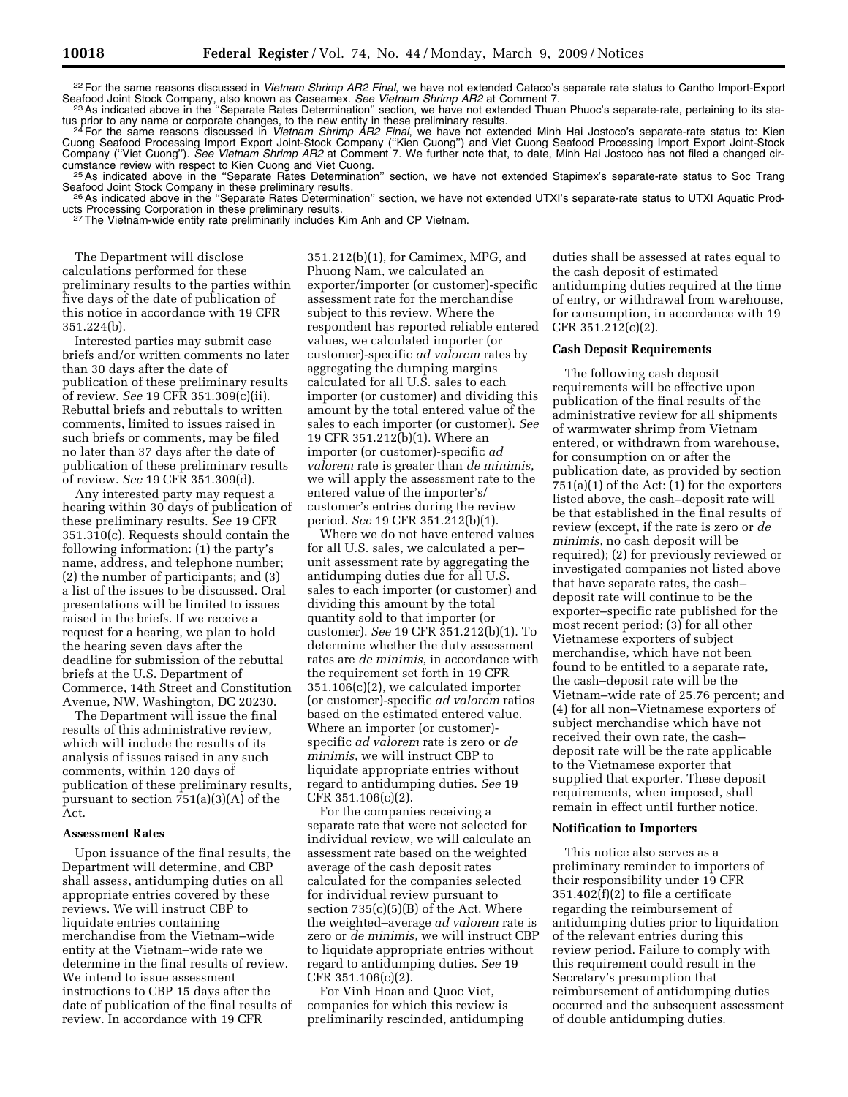22For the same reasons discussed in *Vietnam Shrimp AR2 Final*, we have not extended Cataco's separate rate status to Cantho Import-Export

Seafood Joint Stock Company, also known as Caseamex. See Vietnam Shrimp AR2 at Comment 7.<br><sup>23</sup> As indicated above in the "Separate Rates Determination" section, we have not extended Thuan Phuoc's separate-rate, pertaining tus prior to any name or corporate changes, to the new entity in these preliminary results.<br><sup>24</sup> For the same reasons discussed in *Vietnam Shrimp AR2 Final*, we have not extended Minh Hai Jostoco's separate-rate status to

Cuong Seafood Processing Import Export Joint-Stock Company (''Kien Cuong'') and Viet Cuong Seafood Processing Import Export Joint-Stock Company ("Viet Cuong"). See Vietnam Shrimp AR2 at Comment 7. We further note that, to date, Minh Hai Jostoco has not filed a changed cir-

cumstance review with respect to Kien Cuong and Viet Cuong.<br><sup>25</sup>As indicated above in the "Separate Rates Determination" section, we have not extended Stapimex's separate-rate status to Soc Trang<br>Seafood Joint Stock Compan

<sup>26</sup> As indicated above in the "Separate Rates Determination" section, we have not extended UTXI's separate-rate status to UTXI Aquatic Prod-<br>ucts Processing Corporation in these preliminary results.

<sup>27</sup> The Vietnam-wide entity rate preliminarily includes Kim Anh and CP Vietnam.

The Department will disclose calculations performed for these preliminary results to the parties within five days of the date of publication of this notice in accordance with 19 CFR 351.224(b).

Interested parties may submit case briefs and/or written comments no later than 30 days after the date of publication of these preliminary results of review. *See* 19 CFR 351.309(c)(ii). Rebuttal briefs and rebuttals to written comments, limited to issues raised in such briefs or comments, may be filed no later than 37 days after the date of publication of these preliminary results of review. *See* 19 CFR 351.309(d).

Any interested party may request a hearing within 30 days of publication of these preliminary results. *See* 19 CFR 351.310(c). Requests should contain the following information: (1) the party's name, address, and telephone number; (2) the number of participants; and (3) a list of the issues to be discussed. Oral presentations will be limited to issues raised in the briefs. If we receive a request for a hearing, we plan to hold the hearing seven days after the deadline for submission of the rebuttal briefs at the U.S. Department of Commerce, 14th Street and Constitution Avenue, NW, Washington, DC 20230.

The Department will issue the final results of this administrative review, which will include the results of its analysis of issues raised in any such comments, within 120 days of publication of these preliminary results, pursuant to section 751(a)(3)(A) of the Act.

#### **Assessment Rates**

Upon issuance of the final results, the Department will determine, and CBP shall assess, antidumping duties on all appropriate entries covered by these reviews. We will instruct CBP to liquidate entries containing merchandise from the Vietnam–wide entity at the Vietnam–wide rate we determine in the final results of review. We intend to issue assessment instructions to CBP 15 days after the date of publication of the final results of review. In accordance with 19 CFR

351.212(b)(1), for Camimex, MPG, and Phuong Nam, we calculated an exporter/importer (or customer)-specific assessment rate for the merchandise subject to this review. Where the respondent has reported reliable entered values, we calculated importer (or customer)-specific *ad valorem* rates by aggregating the dumping margins calculated for all U.S. sales to each importer (or customer) and dividing this amount by the total entered value of the sales to each importer (or customer). *See*  19 CFR 351.212(b)(1). Where an importer (or customer)-specific *ad valorem* rate is greater than *de minimis*, we will apply the assessment rate to the entered value of the importer's/ customer's entries during the review period. *See* 19 CFR 351.212(b)(1).

Where we do not have entered values for all U.S. sales, we calculated a per– unit assessment rate by aggregating the antidumping duties due for all U.S. sales to each importer (or customer) and dividing this amount by the total quantity sold to that importer (or customer). *See* 19 CFR 351.212(b)(1). To determine whether the duty assessment rates are *de minimis*, in accordance with the requirement set forth in 19 CFR 351.106(c)(2), we calculated importer (or customer)-specific *ad valorem* ratios based on the estimated entered value. Where an importer (or customer) specific *ad valorem* rate is zero or *de minimis*, we will instruct CBP to liquidate appropriate entries without regard to antidumping duties. *See* 19 CFR 351.106(c)(2).

For the companies receiving a separate rate that were not selected for individual review, we will calculate an assessment rate based on the weighted average of the cash deposit rates calculated for the companies selected for individual review pursuant to section 735(c)(5)(B) of the Act. Where the weighted–average *ad valorem* rate is zero or *de minimis*, we will instruct CBP to liquidate appropriate entries without regard to antidumping duties. *See* 19 CFR 351.106(c)(2).

For Vinh Hoan and Quoc Viet, companies for which this review is preliminarily rescinded, antidumping

duties shall be assessed at rates equal to the cash deposit of estimated antidumping duties required at the time of entry, or withdrawal from warehouse, for consumption, in accordance with 19 CFR 351.212(c)(2).

## **Cash Deposit Requirements**

The following cash deposit requirements will be effective upon publication of the final results of the administrative review for all shipments of warmwater shrimp from Vietnam entered, or withdrawn from warehouse, for consumption on or after the publication date, as provided by section 751(a)(1) of the Act: (1) for the exporters listed above, the cash–deposit rate will be that established in the final results of review (except, if the rate is zero or *de minimis*, no cash deposit will be required); (2) for previously reviewed or investigated companies not listed above that have separate rates, the cash– deposit rate will continue to be the exporter–specific rate published for the most recent period; (3) for all other Vietnamese exporters of subject merchandise, which have not been found to be entitled to a separate rate, the cash–deposit rate will be the Vietnam–wide rate of 25.76 percent; and (4) for all non–Vietnamese exporters of subject merchandise which have not received their own rate, the cash– deposit rate will be the rate applicable to the Vietnamese exporter that supplied that exporter. These deposit requirements, when imposed, shall remain in effect until further notice.

# **Notification to Importers**

This notice also serves as a preliminary reminder to importers of their responsibility under 19 CFR 351.402(f)(2) to file a certificate regarding the reimbursement of antidumping duties prior to liquidation of the relevant entries during this review period. Failure to comply with this requirement could result in the Secretary's presumption that reimbursement of antidumping duties occurred and the subsequent assessment of double antidumping duties.